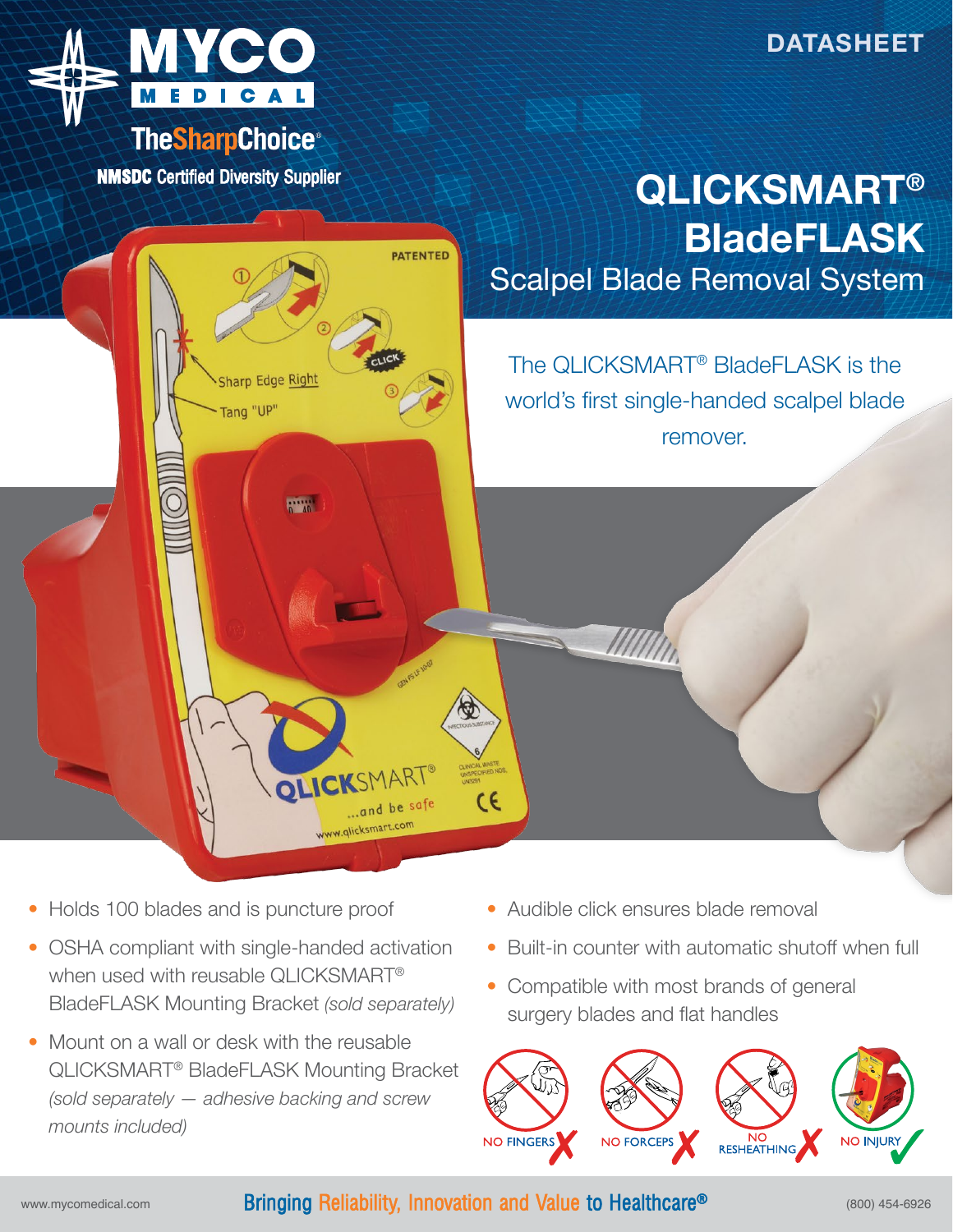



**NMSDC Certified Diversity Supplier** 

## **QLICKSMART® BladeFLASK** Scalpel Blade Removal System



- Holds 100 blades and is puncture proof
- OSHA compliant with single-handed activation when used with reusable QLICKSMART® BladeFLASK Mounting Bracket *(sold separately)*
- Mount on a wall or desk with the reusable QLICKSMART® BladeFLASK Mounting Bracket *(sold separately — adhesive backing and screw mounts included)*
- Audible click ensures blade removal
- Built-in counter with automatic shutoff when full
- Compatible with most brands of general surgery blades and flat handles



## www.mycomedical.com **Bringing Reliability, Innovation and Value to Healthcare<sup>®</sup> (800) 454-6926**